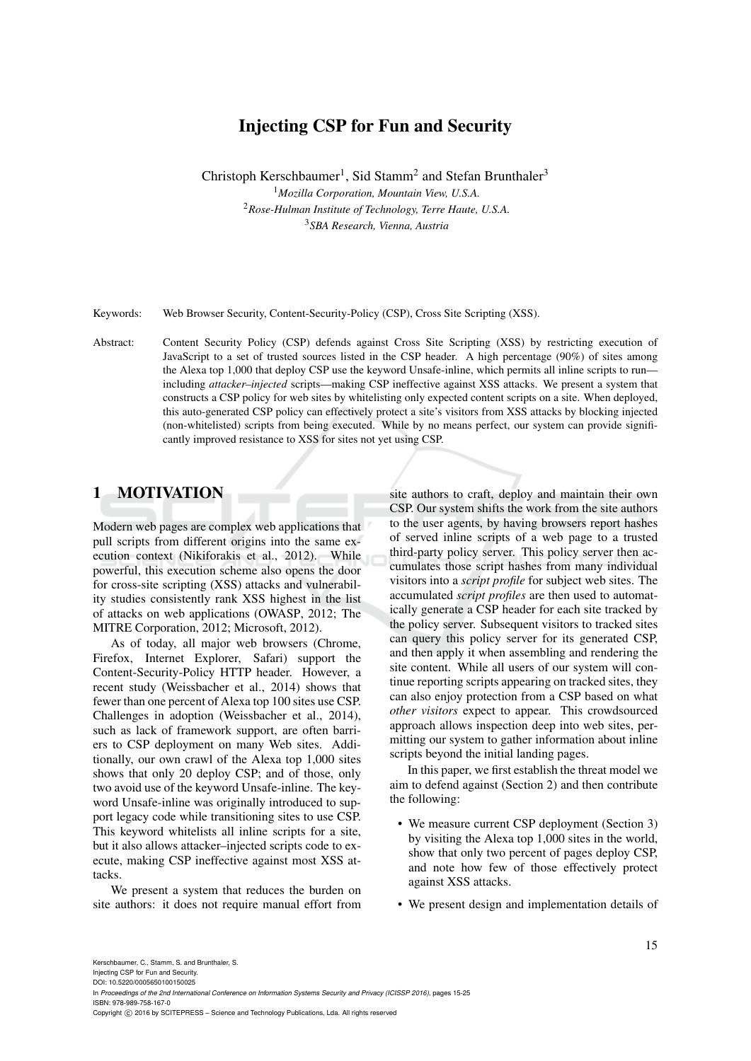# Injecting CSP for Fun and Security

Christoph Kerschbaumer<sup>1</sup>, Sid Stamm<sup>2</sup> and Stefan Brunthaler<sup>3</sup> *Mozilla Corporation, Mountain View, U.S.A. Rose-Hulman Institute of Technology, Terre Haute, U.S.A. SBA Research, Vienna, Austria*

Keywords: Web Browser Security, Content-Security-Policy (CSP), Cross Site Scripting (XSS).

Abstract: Content Security Policy (CSP) defends against Cross Site Scripting (XSS) by restricting execution of JavaScript to a set of trusted sources listed in the CSP header. A high percentage (90%) of sites among the Alexa top 1,000 that deploy CSP use the keyword Unsafe-inline, which permits all inline scripts to run including *attacker–injected* scripts—making CSP ineffective against XSS attacks. We present a system that constructs a CSP policy for web sites by whitelisting only expected content scripts on a site. When deployed, this auto-generated CSP policy can effectively protect a site's visitors from XSS attacks by blocking injected (non-whitelisted) scripts from being executed. While by no means perfect, our system can provide significantly improved resistance to XSS for sites not yet using CSP.

### 1 MOTIVATION

Modern web pages are complex web applications that pull scripts from different origins into the same execution context (Nikiforakis et al., 2012). While powerful, this execution scheme also opens the door for cross-site scripting (XSS) attacks and vulnerability studies consistently rank XSS highest in the list of attacks on web applications (OWASP, 2012; The MITRE Corporation, 2012; Microsoft, 2012).

As of today, all major web browsers (Chrome, Firefox, Internet Explorer, Safari) support the Content-Security-Policy HTTP header. However, a recent study (Weissbacher et al., 2014) shows that fewer than one percent of Alexa top 100 sites use CSP. Challenges in adoption (Weissbacher et al., 2014), such as lack of framework support, are often barriers to CSP deployment on many Web sites. Additionally, our own crawl of the Alexa top 1,000 sites shows that only 20 deploy CSP; and of those, only two avoid use of the keyword Unsafe-inline. The keyword Unsafe-inline was originally introduced to support legacy code while transitioning sites to use CSP. This keyword whitelists all inline scripts for a site, but it also allows attacker–injected scripts code to execute, making CSP ineffective against most XSS attacks.

We present a system that reduces the burden on site authors: it does not require manual effort from

site authors to craft, deploy and maintain their own CSP. Our system shifts the work from the site authors to the user agents, by having browsers report hashes of served inline scripts of a web page to a trusted third-party policy server. This policy server then accumulates those script hashes from many individual visitors into a *script profile* for subject web sites. The accumulated *script profiles* are then used to automatically generate a CSP header for each site tracked by the policy server. Subsequent visitors to tracked sites can query this policy server for its generated CSP, and then apply it when assembling and rendering the site content. While all users of our system will continue reporting scripts appearing on tracked sites, they can also enjoy protection from a CSP based on what *other visitors* expect to appear. This crowdsourced approach allows inspection deep into web sites, permitting our system to gather information about inline scripts beyond the initial landing pages.

In this paper, we first establish the threat model we aim to defend against (Section 2) and then contribute the following:

- We measure current CSP deployment (Section 3) by visiting the Alexa top 1,000 sites in the world, show that only two percent of pages deploy CSP, and note how few of those effectively protect against XSS attacks.
- We present design and implementation details of

Injecting CSP for Fun and Security. DOI: 10.5220/0005650100150025

Copyright © 2016 by SCITEPRESS - Science and Technology Publications, Lda. All rights reserved

In *Proceedings of the 2nd International Conference on Information Systems Security and Privacy (ICISSP 2016)*, pages 15-25 ISBN: 978-989-758-167-0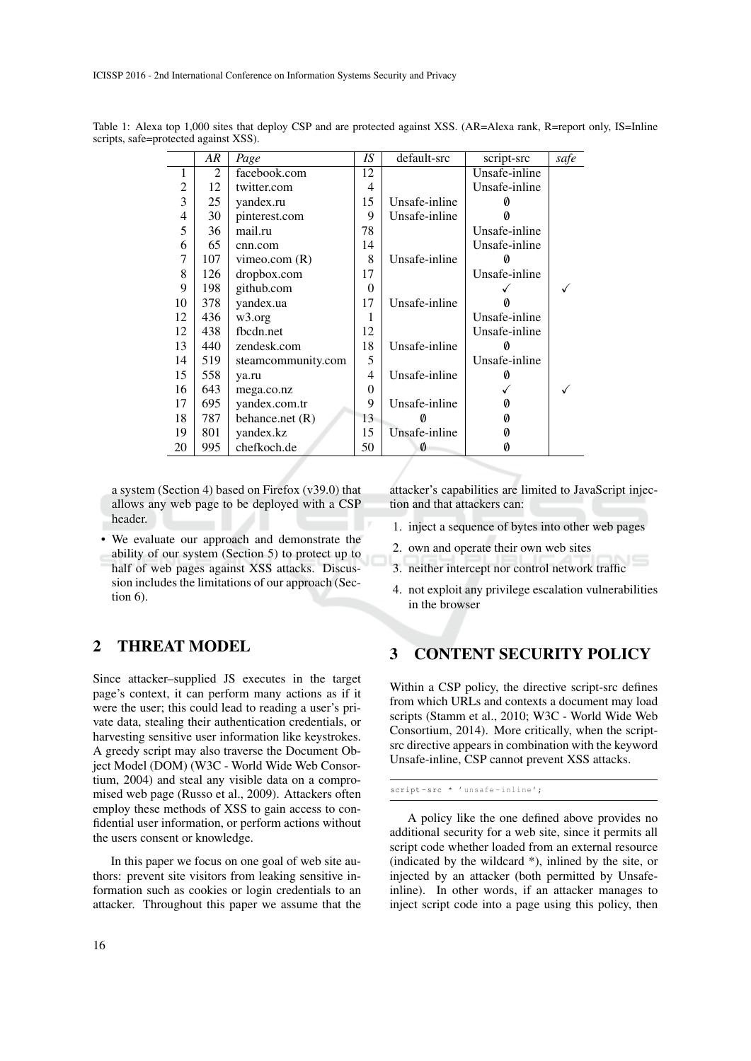ICISSP 2016 - 2nd International Conference on Information Systems Security and Privacy

|                | AR             | Page               | IS       | default-src   | script-src    | safe |
|----------------|----------------|--------------------|----------|---------------|---------------|------|
| 1              | $\mathfrak{D}$ | facebook.com       | 12       |               | Unsafe-inline |      |
| $\overline{2}$ | 12             | twitter.com        | 4        |               | Unsafe-inline |      |
| 3              | 25             | yandex.ru          | 15       | Unsafe-inline |               |      |
| 4              | 30             | pinterest.com      | 9        | Unsafe-inline |               |      |
| 5              | 36             | mail.ru            | 78       |               | Unsafe-inline |      |
| 6              | 65             | cnn.com            | 14       |               | Unsafe-inline |      |
| $\overline{7}$ | 107            | vimeo.com $(R)$    | 8        | Unsafe-inline |               |      |
| 8              | 126            | dropbox.com        | 17       |               | Unsafe-inline |      |
| 9              | 198            | github.com         | $\Omega$ |               |               |      |
| 10             | 378            | yandex.ua          | 17       | Unsafe-inline |               |      |
| 12             | 436            | w3.org             | 1        |               | Unsafe-inline |      |
| 12             | 438            | fbcdn.net          | 12       |               | Unsafe-inline |      |
| 13             | 440            | zendesk.com        | 18       | Unsafe-inline |               |      |
| 14             | 519            | steamcommunity.com | 5        |               | Unsafe-inline |      |
| 15             | 558            | ya.ru              | 4        | Unsafe-inline | 0             |      |
| 16             | 643            | mega.co.nz         | 0        |               |               |      |
| 17             | 695            | yandex.com.tr      | 9        | Unsafe-inline | Ø             |      |
| 18             | 787            | behance.net (R)    | 13       |               | Ø             |      |
| 19             | 801            | yandex.kz          | 15       | Unsafe-inline | Ø             |      |
| 20             | 995            | chefkoch.de        | 50       | 0             | Ø             |      |

Table 1: Alexa top 1,000 sites that deploy CSP and are protected against XSS. (AR=Alexa rank, R=report only, IS=Inline scripts, safe=protected against XSS).

a system (Section 4) based on Firefox (v39.0) that allows any web page to be deployed with a CSP header.

• We evaluate our approach and demonstrate the ability of our system (Section 5) to protect up to half of web pages against XSS attacks. Discussion includes the limitations of our approach (Section 6).

## 2 THREAT MODEL

Since attacker–supplied JS executes in the target page's context, it can perform many actions as if it were the user; this could lead to reading a user's private data, stealing their authentication credentials, or harvesting sensitive user information like keystrokes. A greedy script may also traverse the Document Object Model (DOM) (W3C - World Wide Web Consortium, 2004) and steal any visible data on a compromised web page (Russo et al., 2009). Attackers often employ these methods of XSS to gain access to confidential user information, or perform actions without the users consent or knowledge.

In this paper we focus on one goal of web site authors: prevent site visitors from leaking sensitive information such as cookies or login credentials to an attacker. Throughout this paper we assume that the attacker's capabilities are limited to JavaScript injection and that attackers can:

- 1. inject a sequence of bytes into other web pages
- 2. own and operate their own web sites
- 3. neither intercept nor control network traffic
- 4. not exploit any privilege escalation vulnerabilities in the browser

# 3 CONTENT SECURITY POLICY

Within a CSP policy, the directive script-src defines from which URLs and contexts a document may load scripts (Stamm et al., 2010; W3C - World Wide Web Consortium, 2014). More critically, when the scriptsrc directive appears in combination with the keyword Unsafe-inline, CSP cannot prevent XSS attacks.

script-src \* 'unsafe-inline';

A policy like the one defined above provides no additional security for a web site, since it permits all script code whether loaded from an external resource (indicated by the wildcard \*), inlined by the site, or injected by an attacker (both permitted by Unsafeinline). In other words, if an attacker manages to inject script code into a page using this policy, then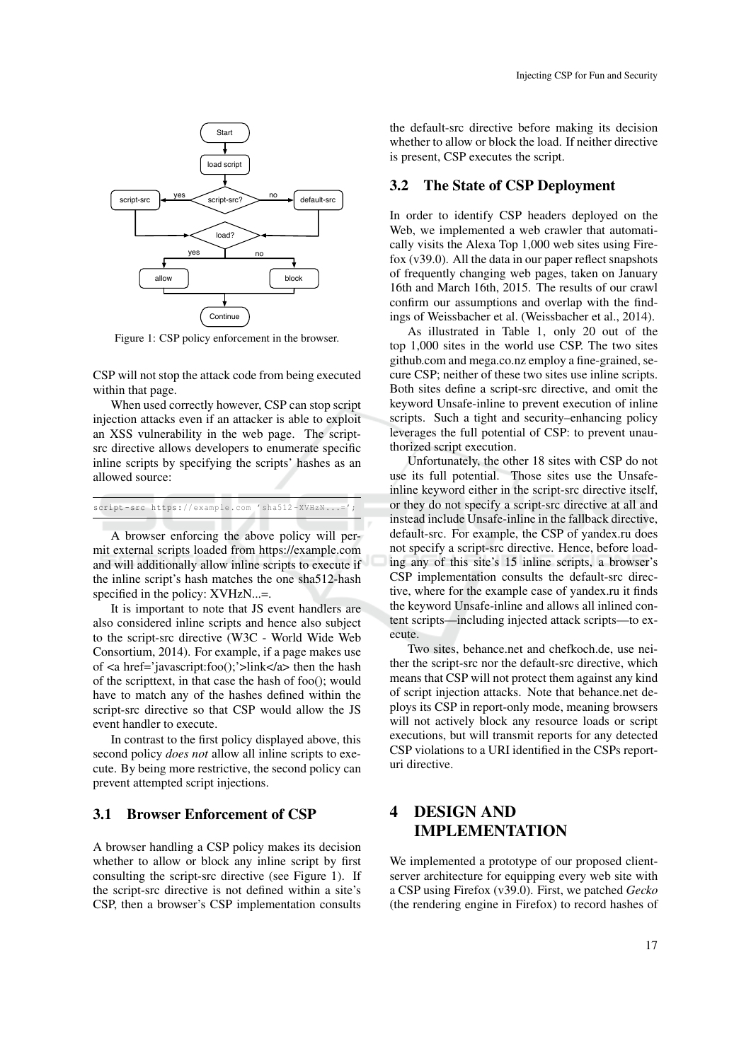

Figure 1: CSP policy enforcement in the browser.

CSP will not stop the attack code from being executed within that page.

When used correctly however, CSP can stop script injection attacks even if an attacker is able to exploit an XSS vulnerability in the web page. The scriptsrc directive allows developers to enumerate specific inline scripts by specifying the scripts' hashes as an allowed source:

script-src https://example.com 'sha512-XVHzN...=';

A browser enforcing the above policy will permit external scripts loaded from https://example.com and will additionally allow inline scripts to execute if the inline script's hash matches the one sha512-hash specified in the policy: XVHzN...=.

It is important to note that JS event handlers are also considered inline scripts and hence also subject to the script-src directive (W3C - World Wide Web Consortium, 2014). For example, if a page makes use of <a href='javascript:foo();'>link</a> then the hash of the scripttext, in that case the hash of foo(); would have to match any of the hashes defined within the script-src directive so that CSP would allow the JS event handler to execute.

In contrast to the first policy displayed above, this second policy *does not* allow all inline scripts to execute. By being more restrictive, the second policy can prevent attempted script injections.

#### 3.1 Browser Enforcement of CSP

A browser handling a CSP policy makes its decision whether to allow or block any inline script by first consulting the script-src directive (see Figure 1). If the script-src directive is not defined within a site's CSP, then a browser's CSP implementation consults

the default-src directive before making its decision whether to allow or block the load. If neither directive is present, CSP executes the script.

#### 3.2 The State of CSP Deployment

In order to identify CSP headers deployed on the Web, we implemented a web crawler that automatically visits the Alexa Top 1,000 web sites using Firefox (v39.0). All the data in our paper reflect snapshots of frequently changing web pages, taken on January 16th and March 16th, 2015. The results of our crawl confirm our assumptions and overlap with the findings of Weissbacher et al. (Weissbacher et al., 2014).

As illustrated in Table 1, only 20 out of the top 1,000 sites in the world use CSP. The two sites github.com and mega.co.nz employ a fine-grained, secure CSP; neither of these two sites use inline scripts. Both sites define a script-src directive, and omit the keyword Unsafe-inline to prevent execution of inline scripts. Such a tight and security–enhancing policy leverages the full potential of CSP: to prevent unauthorized script execution.

Unfortunately, the other 18 sites with CSP do not use its full potential. Those sites use the Unsafeinline keyword either in the script-src directive itself, or they do not specify a script-src directive at all and instead include Unsafe-inline in the fallback directive, default-src. For example, the CSP of yandex.ru does not specify a script-src directive. Hence, before loading any of this site's 15 inline scripts, a browser's CSP implementation consults the default-src directive, where for the example case of yandex.ru it finds the keyword Unsafe-inline and allows all inlined content scripts—including injected attack scripts—to execute.

Two sites, behance.net and chefkoch.de, use neither the script-src nor the default-src directive, which means that CSP will not protect them against any kind of script injection attacks. Note that behance.net deploys its CSP in report-only mode, meaning browsers will not actively block any resource loads or script executions, but will transmit reports for any detected CSP violations to a URI identified in the CSPs reporturi directive.

# 4 DESIGN AND IMPLEMENTATION

We implemented a prototype of our proposed clientserver architecture for equipping every web site with a CSP using Firefox (v39.0). First, we patched *Gecko* (the rendering engine in Firefox) to record hashes of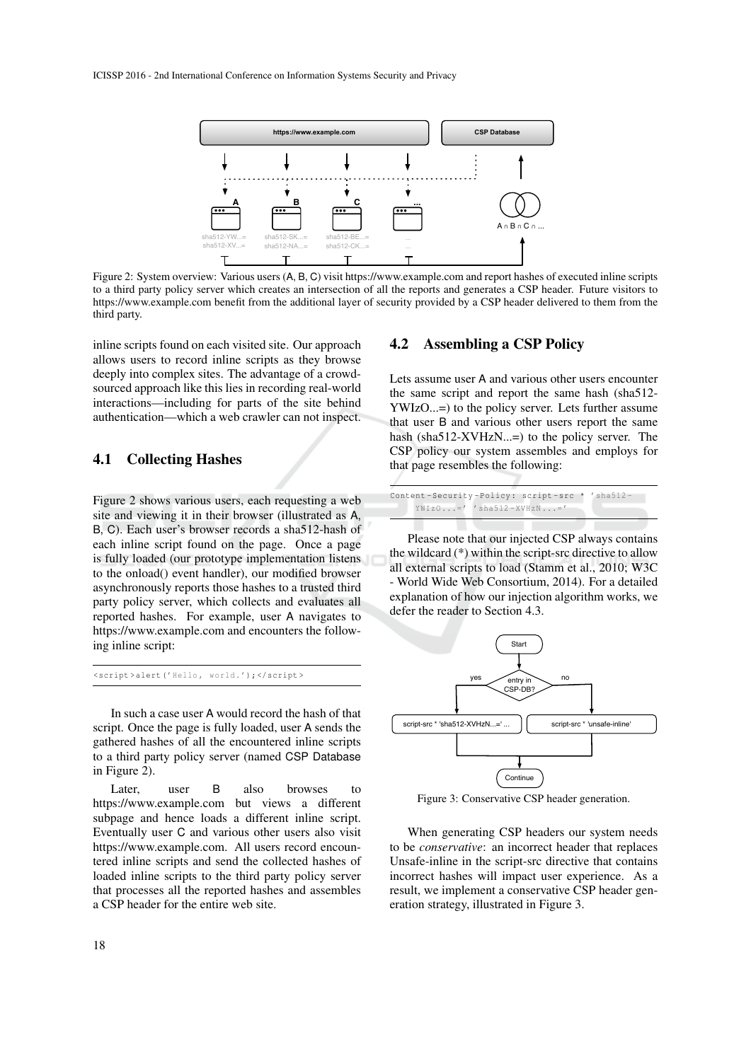

Figure 2: System overview: Various users (A, B, C) visit https://www.example.com and report hashes of executed inline scripts to a third party policy server which creates an intersection of all the reports and generates a CSP header. Future visitors to https://www.example.com benefit from the additional layer of security provided by a CSP header delivered to them from the third party.

inline scripts found on each visited site. Our approach allows users to record inline scripts as they browse deeply into complex sites. The advantage of a crowdsourced approach like this lies in recording real-world interactions—including for parts of the site behind authentication—which a web crawler can not inspect.

#### 4.1 Collecting Hashes

Figure 2 shows various users, each requesting a web site and viewing it in their browser (illustrated as A, B, C). Each user's browser records a sha512-hash of each inline script found on the page. Once a page is fully loaded (our prototype implementation listens to the onload() event handler), our modified browser asynchronously reports those hashes to a trusted third party policy server, which collects and evaluates all reported hashes. For example, user A navigates to https://www.example.com and encounters the following inline script:

<script >alert('Hello , world.'); </script >

In such a case user A would record the hash of that script. Once the page is fully loaded, user A sends the gathered hashes of all the encountered inline scripts to a third party policy server (named CSP Database in Figure 2).

Later, user B also browses to https://www.example.com but views a different subpage and hence loads a different inline script. Eventually user C and various other users also visit https://www.example.com. All users record encountered inline scripts and send the collected hashes of loaded inline scripts to the third party policy server that processes all the reported hashes and assembles a CSP header for the entire web site.

#### 4.2 Assembling a CSP Policy

Lets assume user A and various other users encounter the same script and report the same hash (sha512- YWIzO...=) to the policy server. Lets further assume that user B and various other users report the same hash (sha512-XVHzN...=) to the policy server. The CSP policy our system assembles and employs for that page resembles the following:

| Content-Security-Policy: script-src * 'sha512- |  |
|------------------------------------------------|--|
| $YWIz0=' 'sha512-XYHzN='$                      |  |

Please note that our injected CSP always contains the wildcard (\*) within the script-src directive to allow all external scripts to load (Stamm et al., 2010; W3C - World Wide Web Consortium, 2014). For a detailed explanation of how our injection algorithm works, we defer the reader to Section 4.3.



Figure 3: Conservative CSP header generation.

When generating CSP headers our system needs to be *conservative*: an incorrect header that replaces Unsafe-inline in the script-src directive that contains incorrect hashes will impact user experience. As a result, we implement a conservative CSP header generation strategy, illustrated in Figure 3.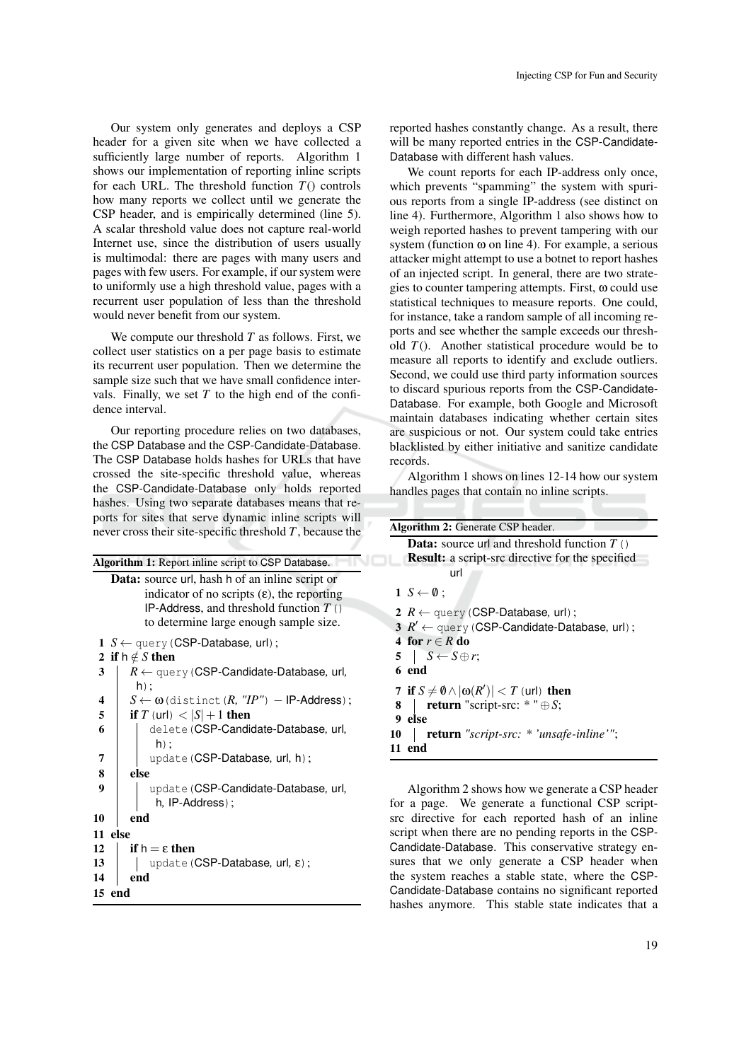Our system only generates and deploys a CSP header for a given site when we have collected a sufficiently large number of reports. Algorithm 1 shows our implementation of reporting inline scripts for each URL. The threshold function  $T()$  controls how many reports we collect until we generate the CSP header, and is empirically determined (line 5). A scalar threshold value does not capture real-world Internet use, since the distribution of users usually is multimodal: there are pages with many users and pages with few users. For example, if our system were to uniformly use a high threshold value, pages with a recurrent user population of less than the threshold would never benefit from our system.

We compute our threshold *T* as follows. First, we collect user statistics on a per page basis to estimate its recurrent user population. Then we determine the sample size such that we have small confidence intervals. Finally, we set  $T$  to the high end of the confidence interval.

Our reporting procedure relies on two databases, the CSP Database and the CSP-Candidate-Database. The CSP Database holds hashes for URLs that have crossed the site-specific threshold value, whereas the CSP-Candidate-Database only holds reported hashes. Using two separate databases means that reports for sites that serve dynamic inline scripts will never cross their site-specific threshold *T*, because the

| <b>Algorithm 1:</b> Report inline script to CSP Database.                                                                                                  |  |
|------------------------------------------------------------------------------------------------------------------------------------------------------------|--|
| <b>Data:</b> source url, hash h of an inline script or<br>indicator of no scripts $(\epsilon)$ , the reporting<br>IP-Address, and threshold function $T()$ |  |
| to determine large enough sample size.                                                                                                                     |  |
| 1 $S \leftarrow$ query (CSP-Database, url);                                                                                                                |  |
| 2 if $h \notin S$ then<br>$R \leftarrow$ query (CSP-Candidate-Database, url,<br>3                                                                          |  |
| $h)$ ;<br>$S \leftarrow \omega$ (distinct $(R, "IP") - IP$ -Address);<br>4                                                                                 |  |
| 5<br>if T (url) $< S +1$ then                                                                                                                              |  |
| 6<br>delete (CSP-Candidate-Database, url,<br>$h)$ ;                                                                                                        |  |
| 7<br>update (CSP-Database, url, h);                                                                                                                        |  |
| 8<br>else                                                                                                                                                  |  |
| 9<br>update (CSP-Candidate-Database, url,<br>h, IP-Address);                                                                                               |  |
| end<br>10                                                                                                                                                  |  |
| else<br>11                                                                                                                                                 |  |
| if $h = \epsilon$ then<br>12                                                                                                                               |  |
| update (CSP-Database, url, $\varepsilon$ );<br>13                                                                                                          |  |
| end<br>14                                                                                                                                                  |  |
| end<br>15                                                                                                                                                  |  |

reported hashes constantly change. As a result, there will be many reported entries in the CSP-Candidate-Database with different hash values.

We count reports for each IP-address only once, which prevents "spamming" the system with spurious reports from a single IP-address (see distinct on line 4). Furthermore, Algorithm 1 also shows how to weigh reported hashes to prevent tampering with our system (function  $\omega$  on line 4). For example, a serious attacker might attempt to use a botnet to report hashes of an injected script. In general, there are two strategies to counter tampering attempts. First, ω could use statistical techniques to measure reports. One could, for instance, take a random sample of all incoming reports and see whether the sample exceeds our threshold  $T()$ . Another statistical procedure would be to measure all reports to identify and exclude outliers. Second, we could use third party information sources to discard spurious reports from the CSP-Candidate-Database. For example, both Google and Microsoft maintain databases indicating whether certain sites are suspicious or not. Our system could take entries blacklisted by either initiative and sanitize candidate records.

Algorithm 1 shows on lines 12-14 how our system handles pages that contain no inline scripts.

|    | <b>Algorithm 2: Generate CSP header.</b>                   |
|----|------------------------------------------------------------|
|    | <b>Data:</b> source url and threshold function $T()$       |
|    | <b>Result:</b> a script-src directive for the specified    |
|    | url                                                        |
|    | $1 S \leftarrow \emptyset$ ;                               |
|    | 2 $R \leftarrow$ query (CSP-Database, url);                |
|    | $3 R' \leftarrow$ query (CSP-Candidate-Database, url);     |
|    | 4 for $r \in R$ do                                         |
|    | $5 \mid S \leftarrow S \oplus r;$                          |
|    | 6 end                                                      |
|    | 7 if $S \neq \emptyset \wedge  \omega(R')  < T$ (url) then |
| 8. | <b>return</b> "script-src: $*$ " $\oplus$ S;               |
|    | 9 else                                                     |
| 10 | <b>return</b> "script-src: * 'unsafe-inline'";             |
|    | 11 end                                                     |
|    |                                                            |

Algorithm 2 shows how we generate a CSP header for a page. We generate a functional CSP scriptsrc directive for each reported hash of an inline script when there are no pending reports in the CSP-Candidate-Database. This conservative strategy ensures that we only generate a CSP header when the system reaches a stable state, where the CSP-Candidate-Database contains no significant reported hashes anymore. This stable state indicates that a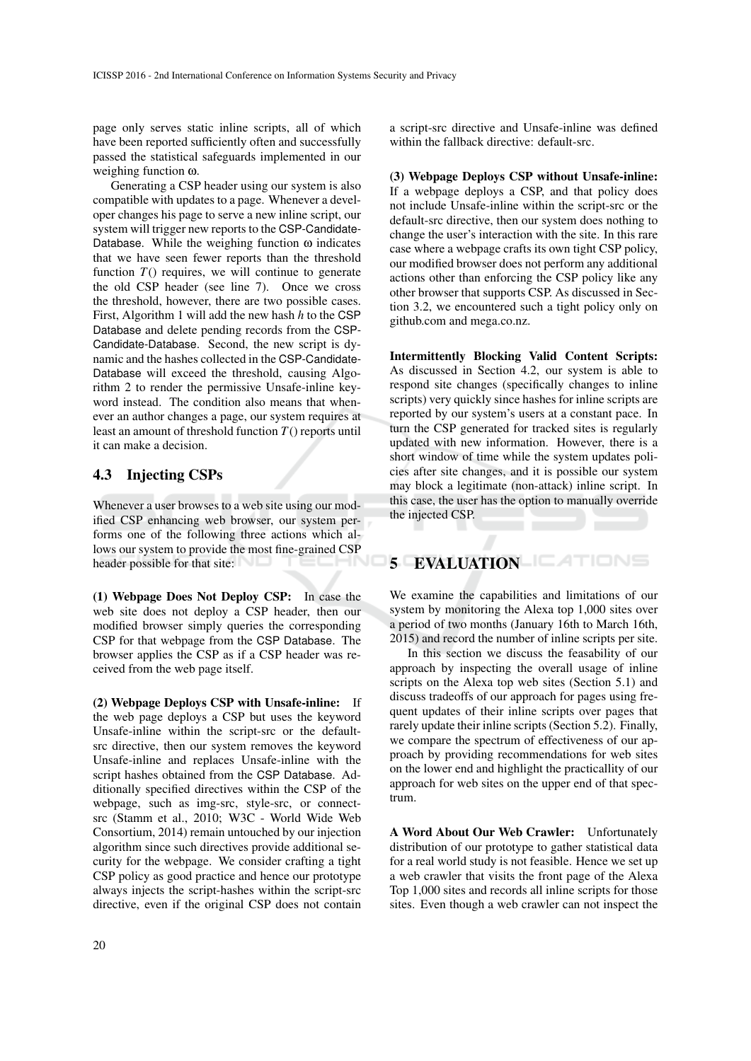page only serves static inline scripts, all of which have been reported sufficiently often and successfully passed the statistical safeguards implemented in our weighing function ω.

Generating a CSP header using our system is also compatible with updates to a page. Whenever a developer changes his page to serve a new inline script, our system will trigger new reports to the CSP-Candidate-Database. While the weighing function  $\omega$  indicates that we have seen fewer reports than the threshold function  $T()$  requires, we will continue to generate the old CSP header (see line 7). Once we cross the threshold, however, there are two possible cases. First, Algorithm 1 will add the new hash *h* to the CSP Database and delete pending records from the CSP-Candidate-Database. Second, the new script is dynamic and the hashes collected in the CSP-Candidate-Database will exceed the threshold, causing Algorithm 2 to render the permissive Unsafe-inline keyword instead. The condition also means that whenever an author changes a page, our system requires at least an amount of threshold function *T*() reports until it can make a decision.

### 4.3 Injecting CSPs

Whenever a user browses to a web site using our modified CSP enhancing web browser, our system performs one of the following three actions which allows our system to provide the most fine-grained CSP header possible for that site:

(1) Webpage Does Not Deploy CSP: In case the web site does not deploy a CSP header, then our modified browser simply queries the corresponding CSP for that webpage from the CSP Database. The browser applies the CSP as if a CSP header was received from the web page itself.

(2) Webpage Deploys CSP with Unsafe-inline: If the web page deploys a CSP but uses the keyword Unsafe-inline within the script-src or the defaultsrc directive, then our system removes the keyword Unsafe-inline and replaces Unsafe-inline with the script hashes obtained from the CSP Database. Additionally specified directives within the CSP of the webpage, such as img-src, style-src, or connectsrc (Stamm et al., 2010; W3C - World Wide Web Consortium, 2014) remain untouched by our injection algorithm since such directives provide additional security for the webpage. We consider crafting a tight CSP policy as good practice and hence our prototype always injects the script-hashes within the script-src directive, even if the original CSP does not contain

a script-src directive and Unsafe-inline was defined within the fallback directive: default-src.

(3) Webpage Deploys CSP without Unsafe-inline: If a webpage deploys a CSP, and that policy does not include Unsafe-inline within the script-src or the default-src directive, then our system does nothing to change the user's interaction with the site. In this rare case where a webpage crafts its own tight CSP policy, our modified browser does not perform any additional actions other than enforcing the CSP policy like any other browser that supports CSP. As discussed in Section 3.2, we encountered such a tight policy only on github.com and mega.co.nz.

Intermittently Blocking Valid Content Scripts: As discussed in Section 4.2, our system is able to respond site changes (specifically changes to inline scripts) very quickly since hashes for inline scripts are reported by our system's users at a constant pace. In turn the CSP generated for tracked sites is regularly updated with new information. However, there is a short window of time while the system updates policies after site changes, and it is possible our system may block a legitimate (non-attack) inline script. In this case, the user has the option to manually override the injected CSP.

# 5 EVALUATION

We examine the capabilities and limitations of our system by monitoring the Alexa top 1,000 sites over a period of two months (January 16th to March 16th, 2015) and record the number of inline scripts per site.

In this section we discuss the feasability of our approach by inspecting the overall usage of inline scripts on the Alexa top web sites (Section 5.1) and discuss tradeoffs of our approach for pages using frequent updates of their inline scripts over pages that rarely update their inline scripts (Section 5.2). Finally, we compare the spectrum of effectiveness of our approach by providing recommendations for web sites on the lower end and highlight the practicallity of our approach for web sites on the upper end of that spectrum.

A Word About Our Web Crawler: Unfortunately distribution of our prototype to gather statistical data for a real world study is not feasible. Hence we set up a web crawler that visits the front page of the Alexa Top 1,000 sites and records all inline scripts for those sites. Even though a web crawler can not inspect the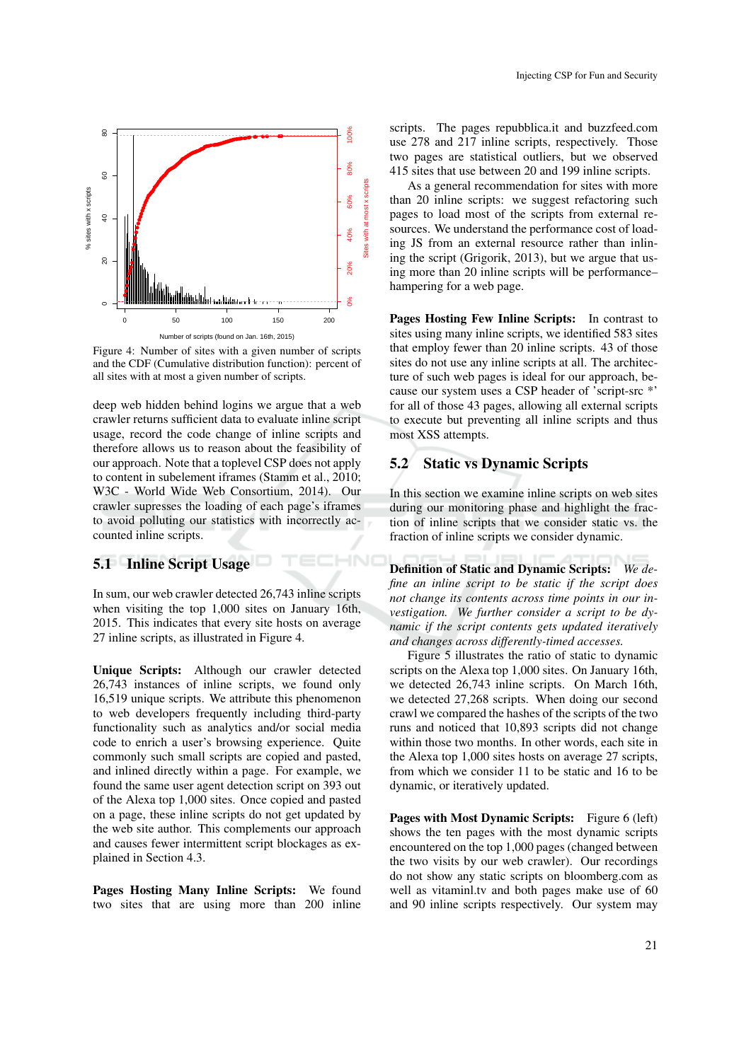

Figure 4: Number of sites with a given number of scripts and the CDF (Cumulative distribution function): percent of all sites with at most a given number of scripts.

deep web hidden behind logins we argue that a web crawler returns sufficient data to evaluate inline script usage, record the code change of inline scripts and therefore allows us to reason about the feasibility of our approach. Note that a toplevel CSP does not apply to content in subelement iframes (Stamm et al., 2010; W3C - World Wide Web Consortium, 2014). Our crawler supresses the loading of each page's iframes to avoid polluting our statistics with incorrectly accounted inline scripts.

#### 5.1 Inline Script Usage

In sum, our web crawler detected 26,743 inline scripts when visiting the top 1,000 sites on January 16th, 2015. This indicates that every site hosts on average 27 inline scripts, as illustrated in Figure 4.

 $\neg N$ 

Unique Scripts: Although our crawler detected 26,743 instances of inline scripts, we found only 16,519 unique scripts. We attribute this phenomenon to web developers frequently including third-party functionality such as analytics and/or social media code to enrich a user's browsing experience. Quite commonly such small scripts are copied and pasted, and inlined directly within a page. For example, we found the same user agent detection script on 393 out of the Alexa top 1,000 sites. Once copied and pasted on a page, these inline scripts do not get updated by the web site author. This complements our approach and causes fewer intermittent script blockages as explained in Section 4.3.

Pages Hosting Many Inline Scripts: We found two sites that are using more than 200 inline

scripts. The pages repubblica.it and buzzfeed.com use 278 and 217 inline scripts, respectively. Those two pages are statistical outliers, but we observed 415 sites that use between 20 and 199 inline scripts.

As a general recommendation for sites with more than 20 inline scripts: we suggest refactoring such pages to load most of the scripts from external resources. We understand the performance cost of loading JS from an external resource rather than inlining the script (Grigorik, 2013), but we argue that using more than 20 inline scripts will be performance– hampering for a web page.

Pages Hosting Few Inline Scripts: In contrast to sites using many inline scripts, we identified 583 sites that employ fewer than 20 inline scripts. 43 of those sites do not use any inline scripts at all. The architecture of such web pages is ideal for our approach, because our system uses a CSP header of 'script-src \*' for all of those 43 pages, allowing all external scripts to execute but preventing all inline scripts and thus most XSS attempts.

#### 5.2 Static vs Dynamic Scripts

In this section we examine inline scripts on web sites during our monitoring phase and highlight the fraction of inline scripts that we consider static vs. the fraction of inline scripts we consider dynamic.

Definition of Static and Dynamic Scripts: *We define an inline script to be static if the script does not change its contents across time points in our investigation. We further consider a script to be dynamic if the script contents gets updated iteratively and changes across differently-timed accesses.*

Figure 5 illustrates the ratio of static to dynamic scripts on the Alexa top 1,000 sites. On January 16th, we detected 26,743 inline scripts. On March 16th, we detected 27,268 scripts. When doing our second crawl we compared the hashes of the scripts of the two runs and noticed that 10,893 scripts did not change within those two months. In other words, each site in the Alexa top 1,000 sites hosts on average 27 scripts, from which we consider 11 to be static and 16 to be dynamic, or iteratively updated.

Pages with Most Dynamic Scripts: Figure 6 (left) shows the ten pages with the most dynamic scripts encountered on the top 1,000 pages (changed between the two visits by our web crawler). Our recordings do not show any static scripts on bloomberg.com as well as vitaminl.tv and both pages make use of 60 and 90 inline scripts respectively. Our system may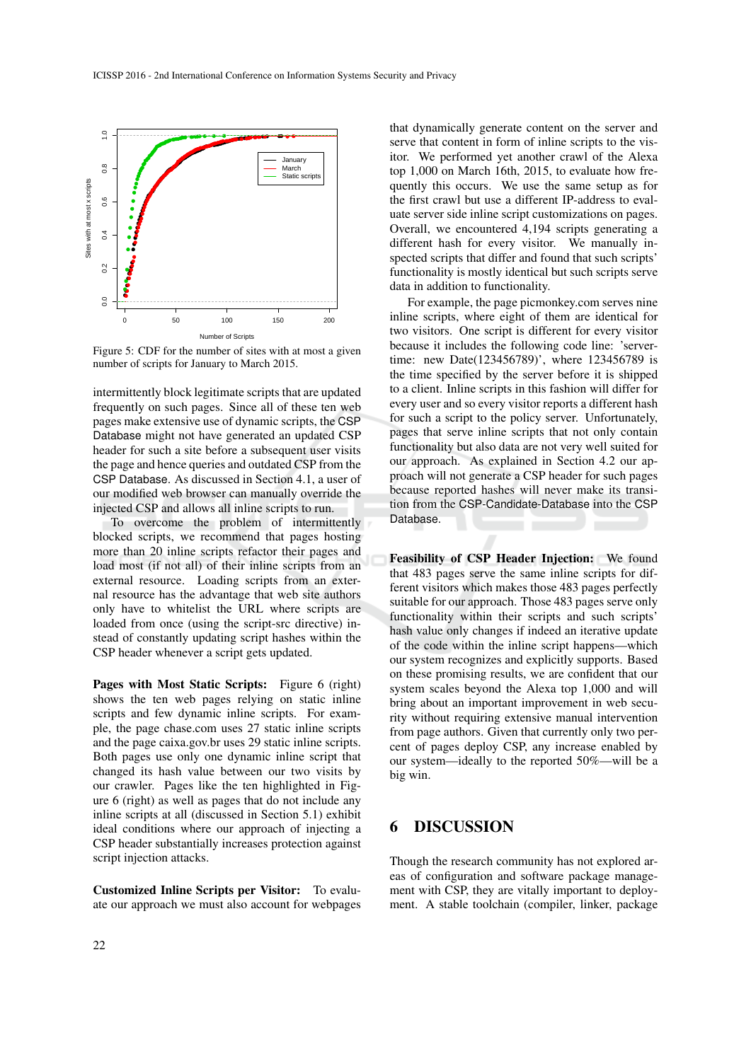

Figure 5: CDF for the number of sites with at most a given number of scripts for January to March 2015.

intermittently block legitimate scripts that are updated frequently on such pages. Since all of these ten web pages make extensive use of dynamic scripts, the CSP Database might not have generated an updated CSP header for such a site before a subsequent user visits the page and hence queries and outdated CSP from the CSP Database. As discussed in Section 4.1, a user of our modified web browser can manually override the injected CSP and allows all inline scripts to run.

To overcome the problem of intermittently blocked scripts, we recommend that pages hosting more than 20 inline scripts refactor their pages and load most (if not all) of their inline scripts from an external resource. Loading scripts from an external resource has the advantage that web site authors only have to whitelist the URL where scripts are loaded from once (using the script-src directive) instead of constantly updating script hashes within the CSP header whenever a script gets updated.

Pages with Most Static Scripts: Figure 6 (right) shows the ten web pages relying on static inline scripts and few dynamic inline scripts. For example, the page chase.com uses 27 static inline scripts and the page caixa.gov.br uses 29 static inline scripts. Both pages use only one dynamic inline script that changed its hash value between our two visits by our crawler. Pages like the ten highlighted in Figure 6 (right) as well as pages that do not include any inline scripts at all (discussed in Section 5.1) exhibit ideal conditions where our approach of injecting a CSP header substantially increases protection against script injection attacks.

Customized Inline Scripts per Visitor: To evaluate our approach we must also account for webpages

that dynamically generate content on the server and serve that content in form of inline scripts to the visitor. We performed yet another crawl of the Alexa top 1,000 on March 16th, 2015, to evaluate how frequently this occurs. We use the same setup as for the first crawl but use a different IP-address to evaluate server side inline script customizations on pages. Overall, we encountered 4,194 scripts generating a different hash for every visitor. We manually inspected scripts that differ and found that such scripts' functionality is mostly identical but such scripts serve data in addition to functionality.

For example, the page picmonkey.com serves nine inline scripts, where eight of them are identical for two visitors. One script is different for every visitor because it includes the following code line: 'servertime: new Date(123456789)', where 123456789 is the time specified by the server before it is shipped to a client. Inline scripts in this fashion will differ for every user and so every visitor reports a different hash for such a script to the policy server. Unfortunately, pages that serve inline scripts that not only contain functionality but also data are not very well suited for our approach. As explained in Section 4.2 our approach will not generate a CSP header for such pages because reported hashes will never make its transition from the CSP-Candidate-Database into the CSP Database.

Feasibility of CSP Header Injection: We found that 483 pages serve the same inline scripts for different visitors which makes those 483 pages perfectly suitable for our approach. Those 483 pages serve only functionality within their scripts and such scripts' hash value only changes if indeed an iterative update of the code within the inline script happens—which our system recognizes and explicitly supports. Based on these promising results, we are confident that our system scales beyond the Alexa top 1,000 and will bring about an important improvement in web security without requiring extensive manual intervention from page authors. Given that currently only two percent of pages deploy CSP, any increase enabled by our system—ideally to the reported 50%—will be a big win.

### **DISCUSSION**

Though the research community has not explored areas of configuration and software package management with CSP, they are vitally important to deployment. A stable toolchain (compiler, linker, package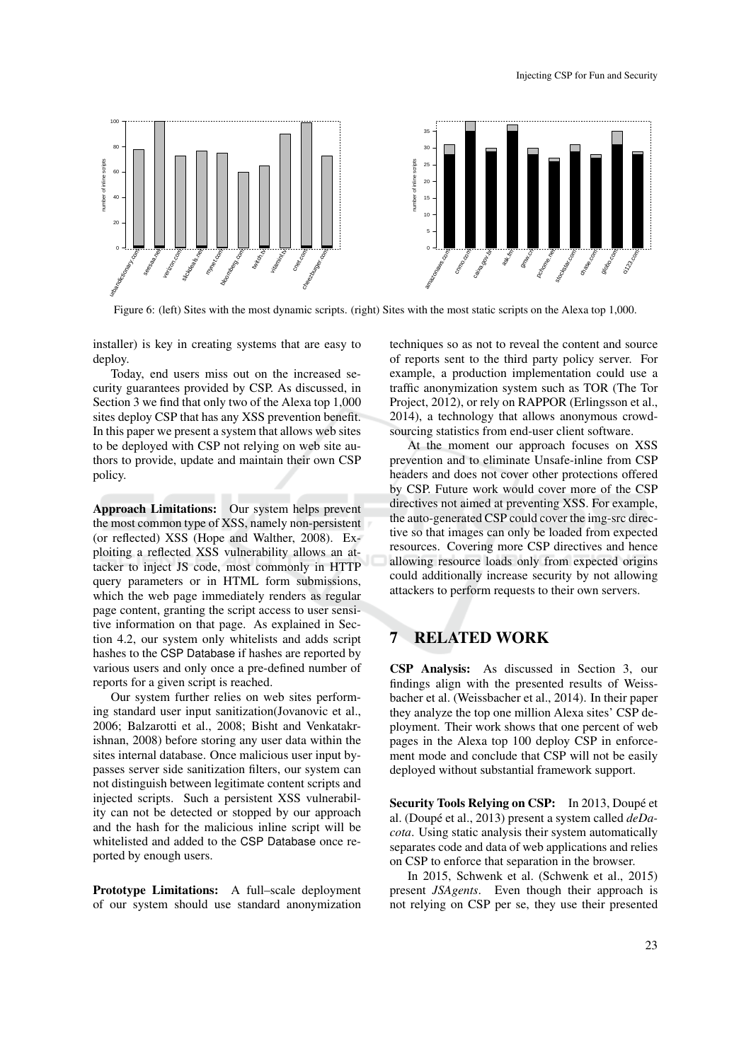

Figure 6: (left) Sites with the most dynamic scripts. (right) Sites with the most static scripts on the Alexa top 1,000.

installer) is key in creating systems that are easy to deploy.

Today, end users miss out on the increased security guarantees provided by CSP. As discussed, in Section 3 we find that only two of the Alexa top 1,000 sites deploy CSP that has any XSS prevention benefit. In this paper we present a system that allows web sites to be deployed with CSP not relying on web site authors to provide, update and maintain their own CSP policy.

Approach Limitations: Our system helps prevent the most common type of XSS, namely non-persistent (or reflected) XSS (Hope and Walther, 2008). Exploiting a reflected XSS vulnerability allows an attacker to inject JS code, most commonly in HTTP query parameters or in HTML form submissions, which the web page immediately renders as regular page content, granting the script access to user sensitive information on that page. As explained in Section 4.2, our system only whitelists and adds script hashes to the CSP Database if hashes are reported by various users and only once a pre-defined number of reports for a given script is reached.

Our system further relies on web sites performing standard user input sanitization(Jovanovic et al., 2006; Balzarotti et al., 2008; Bisht and Venkatakrishnan, 2008) before storing any user data within the sites internal database. Once malicious user input bypasses server side sanitization filters, our system can not distinguish between legitimate content scripts and injected scripts. Such a persistent XSS vulnerability can not be detected or stopped by our approach and the hash for the malicious inline script will be whitelisted and added to the CSP Database once reported by enough users.

Prototype Limitations: A full–scale deployment of our system should use standard anonymization techniques so as not to reveal the content and source of reports sent to the third party policy server. For example, a production implementation could use a traffic anonymization system such as TOR (The Tor Project, 2012), or rely on RAPPOR (Erlingsson et al., 2014), a technology that allows anonymous crowdsourcing statistics from end-user client software.

At the moment our approach focuses on XSS prevention and to eliminate Unsafe-inline from CSP headers and does not cover other protections offered by CSP. Future work would cover more of the CSP directives not aimed at preventing XSS. For example, the auto-generated CSP could cover the img-src directive so that images can only be loaded from expected resources. Covering more CSP directives and hence allowing resource loads only from expected origins could additionally increase security by not allowing attackers to perform requests to their own servers.

## 7 RELATED WORK

CSP Analysis: As discussed in Section 3, our findings align with the presented results of Weissbacher et al. (Weissbacher et al., 2014). In their paper they analyze the top one million Alexa sites' CSP deployment. Their work shows that one percent of web pages in the Alexa top 100 deploy CSP in enforcement mode and conclude that CSP will not be easily deployed without substantial framework support.

Security Tools Relying on CSP: In 2013, Doupé et al. (Doupé et al., 2013) present a system called *deDacota*. Using static analysis their system automatically separates code and data of web applications and relies on CSP to enforce that separation in the browser.

In 2015, Schwenk et al. (Schwenk et al., 2015) present *JSAgents*. Even though their approach is not relying on CSP per se, they use their presented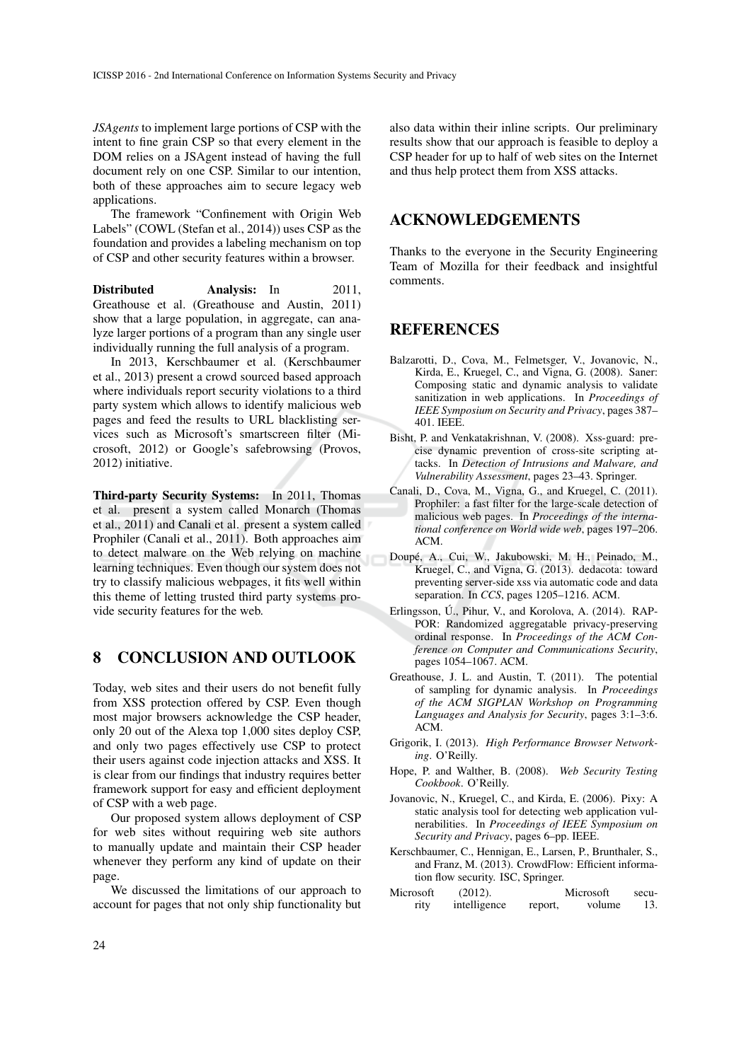*JSAgents* to implement large portions of CSP with the intent to fine grain CSP so that every element in the DOM relies on a JSAgent instead of having the full document rely on one CSP. Similar to our intention, both of these approaches aim to secure legacy web applications.

The framework "Confinement with Origin Web Labels" (COWL (Stefan et al., 2014)) uses CSP as the foundation and provides a labeling mechanism on top of CSP and other security features within a browser.

Distributed Analysis: In 2011, Greathouse et al. (Greathouse and Austin, 2011) show that a large population, in aggregate, can analyze larger portions of a program than any single user individually running the full analysis of a program.

In 2013, Kerschbaumer et al. (Kerschbaumer et al., 2013) present a crowd sourced based approach where individuals report security violations to a third party system which allows to identify malicious web pages and feed the results to URL blacklisting services such as Microsoft's smartscreen filter (Microsoft, 2012) or Google's safebrowsing (Provos, 2012) initiative.

Third-party Security Systems: In 2011, Thomas et al. present a system called Monarch (Thomas et al., 2011) and Canali et al. present a system called Prophiler (Canali et al., 2011). Both approaches aim to detect malware on the Web relying on machine learning techniques. Even though our system does not try to classify malicious webpages, it fits well within this theme of letting trusted third party systems provide security features for the web.

## 8 CONCLUSION AND OUTLOOK

Today, web sites and their users do not benefit fully from XSS protection offered by CSP. Even though most major browsers acknowledge the CSP header, only 20 out of the Alexa top 1,000 sites deploy CSP, and only two pages effectively use CSP to protect their users against code injection attacks and XSS. It is clear from our findings that industry requires better framework support for easy and efficient deployment of CSP with a web page.

Our proposed system allows deployment of CSP for web sites without requiring web site authors to manually update and maintain their CSP header whenever they perform any kind of update on their page.

We discussed the limitations of our approach to account for pages that not only ship functionality but

also data within their inline scripts. Our preliminary results show that our approach is feasible to deploy a CSP header for up to half of web sites on the Internet and thus help protect them from XSS attacks.

### ACKNOWLEDGEMENTS

Thanks to the everyone in the Security Engineering Team of Mozilla for their feedback and insightful comments.

### REFERENCES

- Balzarotti, D., Cova, M., Felmetsger, V., Jovanovic, N., Kirda, E., Kruegel, C., and Vigna, G. (2008). Saner: Composing static and dynamic analysis to validate sanitization in web applications. In *Proceedings of IEEE Symposium on Security and Privacy*, pages 387– 401. IEEE.
- Bisht, P. and Venkatakrishnan, V. (2008). Xss-guard: precise dynamic prevention of cross-site scripting attacks. In *Detection of Intrusions and Malware, and Vulnerability Assessment*, pages 23–43. Springer.
- Canali, D., Cova, M., Vigna, G., and Kruegel, C. (2011). Prophiler: a fast filter for the large-scale detection of malicious web pages. In *Proceedings of the international conference on World wide web*, pages 197–206. ACM.
- Doupé, A., Cui, W., Jakubowski, M. H., Peinado, M., Kruegel, C., and Vigna, G. (2013). dedacota: toward preventing server-side xss via automatic code and data separation. In *CCS*, pages 1205–1216. ACM.
- Erlingsson, Ú., Pihur, V., and Korolova, A. (2014). RAP-POR: Randomized aggregatable privacy-preserving ordinal response. In *Proceedings of the ACM Conference on Computer and Communications Security*, pages 1054–1067. ACM.
- Greathouse, J. L. and Austin, T. (2011). The potential of sampling for dynamic analysis. In *Proceedings of the ACM SIGPLAN Workshop on Programming Languages and Analysis for Security*, pages 3:1–3:6. ACM.
- Grigorik, I. (2013). *High Performance Browser Networking*. O'Reilly.
- Hope, P. and Walther, B. (2008). *Web Security Testing Cookbook*. O'Reilly.
- Jovanovic, N., Kruegel, C., and Kirda, E. (2006). Pixy: A static analysis tool for detecting web application vulnerabilities. In *Proceedings of IEEE Symposium on Security and Privacy*, pages 6–pp. IEEE.
- Kerschbaumer, C., Hennigan, E., Larsen, P., Brunthaler, S., and Franz, M. (2013). CrowdFlow: Efficient information flow security. ISC, Springer.
- Microsoft (2012). Microsoft security intelligence report, volume 13.